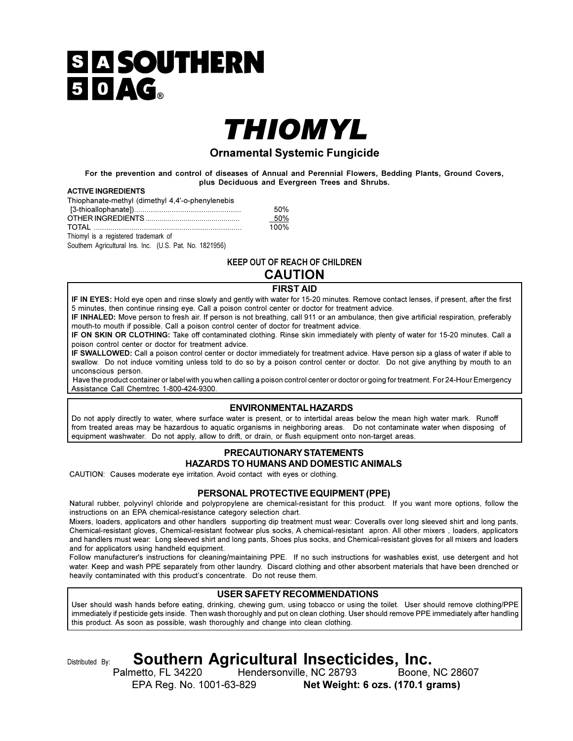# **SIA SOUTHERN** 50AG.

# THIOMYL

### **Ornamental Systemic Fungicide**

For the prevention and control of diseases of Annual and Perennial Flowers, Bedding Plants, Ground Covers, plus Deciduous and Evergreen Trees and Shrubs.

#### **ACTIVE INGREDIENTS**

Thiophanate-methyl (dimethyl 4,4'-o-phenylenebis

|                                      | 50%   |
|--------------------------------------|-------|
|                                      | - 50% |
|                                      | 100%  |
| Thiomyl is a registered trademark of |       |

Southern Agricultural Ins. Inc. (U.S. Pat. No. 1821956)

### **KEEP OUT OF REACH OF CHILDREN**

# **CAUTION**

**FIRST AID** 

IF IN EYES: Hold eye open and rinse slowly and gently with water for 15-20 minutes. Remove contact lenses, if present, after the first 5 minutes, then continue rinsing eye. Call a poison control center or doctor for treatment advice.

IF INHALED: Move person to fresh air. If person is not breathing, call 911 or an ambulance, then give artificial respiration, preferably mouth-to mouth if possible. Call a poison control center of doctor for treatment advice.

IF ON SKIN OR CLOTHING: Take off contaminated clothing. Rinse skin immediately with plenty of water for 15-20 minutes. Call a poison control center or doctor for treatment advice.

IF SWALLOWED: Call a poison control center or doctor immediately for treatment advice. Have person sip a glass of water if able to swallow. Do not induce vomiting unless told to do so by a poison control center or doctor. Do not give anything by mouth to an unconscious person.

Have the product container or label with you when calling a poison control center or doctor or going for treatment. For 24-Hour Emergency Assistance Call Chemtrec 1-800-424-9300.

#### **ENVIRONMENTAL HAZARDS**

Do not apply directly to water, where surface water is present, or to intertidal areas below the mean high water mark. Runoff from treated areas may be hazardous to aquatic organisms in neighboring areas. Do not contaminate water when disposing of equipment washwater. Do not apply, allow to drift, or drain, or flush equipment onto non-target areas.

## PRECAUTIONARY STATEMENTS

**HAZARDS TO HUMANS AND DOMESTIC ANIMALS** CAUTION: Causes moderate eye irritation. Avoid contact with eyes or clothing.

PERSONAL PROTECTIVE EQUIPMENT (PPE)

Natural rubber, polyvinyl chloride and polypropylene are chemical-resistant for this product. If you want more options, follow the instructions on an EPA chemical-resistance category selection chart.

Mixers, loaders, applicators and other handlers supporting dip treatment must wear: Coveralls over long sleeved shirt and long pants, Chemical-resistant gloves, Chemical-resistant footwear plus socks, A chemical-resistant apron. All other mixers, loaders, applicators and handlers must wear: Long sleeved shirt and long pants, Shoes plus socks, and Chemical-resistant gloves for all mixers and loaders and for applicators using handheld equipment.

Follow manufacturer's instructions for cleaning/maintaining PPE. If no such instructions for washables exist, use detergent and hot water. Keep and wash PPE separately from other laundry. Discard clothing and other absorbent materials that have been drenched or heavily contaminated with this product's concentrate. Do not reuse them.

#### **USER SAFETY RECOMMENDATIONS**

User should wash hands before eating, drinking, chewing gum, using tobacco or using the toilet. User should remove clothing/PPE immediately if pesticide gets inside. Then wash thoroughly and put on clean clothing. User should remove PPE immediately after handling this product. As soon as possible, wash thoroughly and change into clean clothing.

Distributed By:

# Southern Agricultural Insecticides, Inc.

Palmetto, FL 34220 Hendersonville, NC 28793 Boone, NC 28607 EPA Reg. No. 1001-63-829 Net Weight: 6 ozs. (170.1 grams)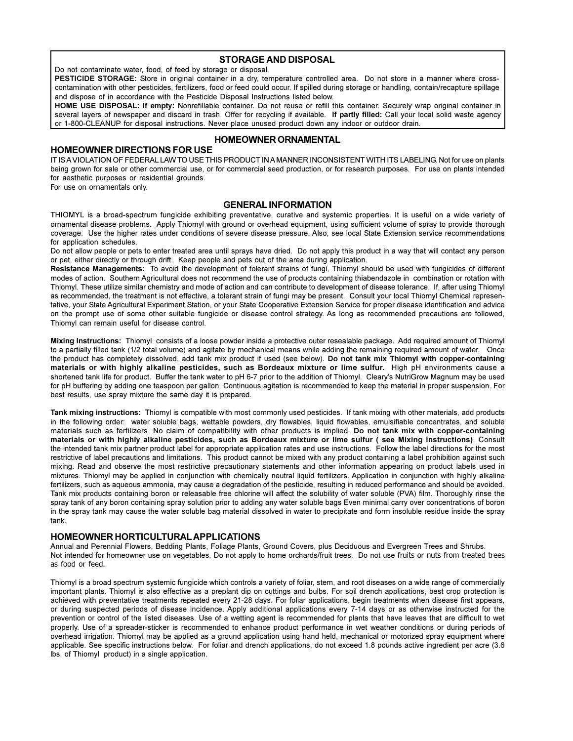#### **STORAGE AND DISPOSAL**

Do not contaminate water, food, of feed by storage or disposal.

PESTICIDE STORAGE: Store in original container in a dry, temperature controlled area. Do not store in a manner where crosscontamination with other pesticides, fertilizers, food or feed could occur. If spilled during storage or handling, contain/recapture spillage and dispose of in accordance with the Pesticide Disposal Instructions listed below.

HOME USE DISPOSAL: If empty: Nonrefillable container. Do not reuse or refill this container. Securely wrap original container in several layers of newspaper and discard in trash. Offer for recycling if available. If partly filled: Call your local solid waste agency or 1-800-CLEANUP for disposal instructions. Never place unused product down any indoor or outdoor drain.

#### **HOMEOWNER DIRECTIONS FOR USE**

#### **HOMEOWNER ORNAMENTAL**

IT IS A VIOLATION OF FEDERAL LAW TO USE THIS PRODUCT IN A MANNER INCONSISTENT WITH ITS LABELING. Not for use on plants being grown for sale or other commercial use, or for commercial seed production, or for research purposes. For use on plants intended for aesthetic purposes or residential grounds.

For use on ornamentals only.

#### **GENERAL INFORMATION**

THIOMYL is a broad-spectrum fungicide exhibiting preventative, curative and systemic properties. It is useful on a wide variety of ornamental disease problems. Apply Thiomyl with ground or overhead equipment, using sufficient volume of spray to provide thorough coverage. Use the higher rates under conditions of severe disease pressure. Also, see local State Extension service recommendations for application schedules.

Do not allow people or pets to enter treated area until sprays have dried. Do not apply this product in a way that will contact any person or pet, either directly or through drift. Keep people and pets out of the area during application.

Resistance Managements: To avoid the development of tolerant strains of fungi, Thiomyl should be used with fungicides of different modes of action. Southern Agricultural does not recommend the use of products containing thiabendazole in combination or rotation with Thiomyl. These utilize similar chemistry and mode of action and can contribute to development of disease tolerance. If, after using Thiomyl as recommended, the treatment is not effective, a tolerant strain of fungi may be present. Consult your local Thiomyl Chemical representative, your State Agricultural Experiment Station, or your State Cooperative Extension Service for proper disease identification and advice on the prompt use of some other suitable fungicide or disease control strategy. As long as recommended precautions are followed, Thiomyl can remain useful for disease control.

Mixing Instructions: Thiomyl consists of a loose powder inside a protective outer resealable package. Add required amount of Thiomyl to a partially filled tank (1/2 total volume) and agitate by mechanical means while adding the remaining required amount of water. Once the product has completely dissolved, add tank mix product if used (see below). Do not tank mix Thiomyl with copper-containing materials or with highly alkaline pesticides, such as Bordeaux mixture or lime sulfur. High pH environments cause a shortened tank life for product. Buffer the tank water to pH 6-7 prior to the addition of Thiomyl. Cleary's NutriGrow Magnum may be used for pH buffering by adding one teaspoon per gallon. Continuous agitation is recommended to keep the material in proper suspension. For best results, use spray mixture the same day it is prepared.

Tank mixing instructions: Thiomyl is compatible with most commonly used pesticides. If tank mixing with other materials, add products in the following order: water soluble bags, wettable powders, dry flowables, liquid flowables, emulsifiable concentrates, and soluble materials such as fertilizers. No claim of compatibility with other products is implied. Do not tank mix with copper-containing materials or with highly alkaline pesticides, such as Bordeaux mixture or lime sulfur (see Mixing Instructions). Consult the intended tank mix partner product label for appropriate application rates and use instructions. Follow the label directions for the most restrictive of label precautions and limitations. This product cannot be mixed with any product containing a label prohibition against such mixing. Read and observe the most restrictive precautionary statements and other information appearing on product labels used in mixtures. Thiomyl may be applied in conjunction with chemically neutral liquid fertilizers. Application in conjunction with highly alkaline fertilizers, such as aqueous ammonia, may cause a degradation of the pesticide, resulting in reduced performance and should be avoided. Tank mix products containing boron or releasable free chlorine will affect the solubility of water soluble (PVA) film. Thoroughly rinse the spray tank of any boron containing spray solution prior to adding any water soluble bags Even minimal carry over concentrations of boron in the spray tank may cause the water soluble bag material dissolved in water to precipitate and form insoluble residue inside the spray tank.

#### HOMEOWNER HORTICULTURAL APPLICATIONS

Annual and Perennial Flowers, Bedding Plants, Foliage Plants, Ground Covers, plus Deciduous and Evergreen Trees and Shrubs. Not intended for homeowner use on vegetables. Do not apply to home orchards/fruit trees. Do not use fruits or nuts from treated trees as food or feed.

Thiomyl is a broad spectrum systemic fungicide which controls a variety of foliar, stem, and root diseases on a wide range of commercially important plants. Thiomyl is also effective as a preplant dip on cuttings and bulbs. For soil drench applications, best crop protection is achieved with preventative treatments repeated every 21-28 days. For foliar applications, begin treatments when disease first appears, or during suspected periods of disease incidence. Apply additional applications every 7-14 days or as otherwise instructed for the prevention or control of the listed diseases. Use of a wetting agent is recommended for plants that have leaves that are difficult to wet properly. Use of a spreader-sticker is recommended to enhance product performance in wet weather conditions or during periods of overhead irrigation. Thiomyl may be applied as a ground application using hand held, mechanical or motorized spray equipment where applicable. See specific instructions below. For foliar and drench applications, do not exceed 1.8 pounds active ingredient per acre (3.6 Ibs. of Thiomyl product) in a single application.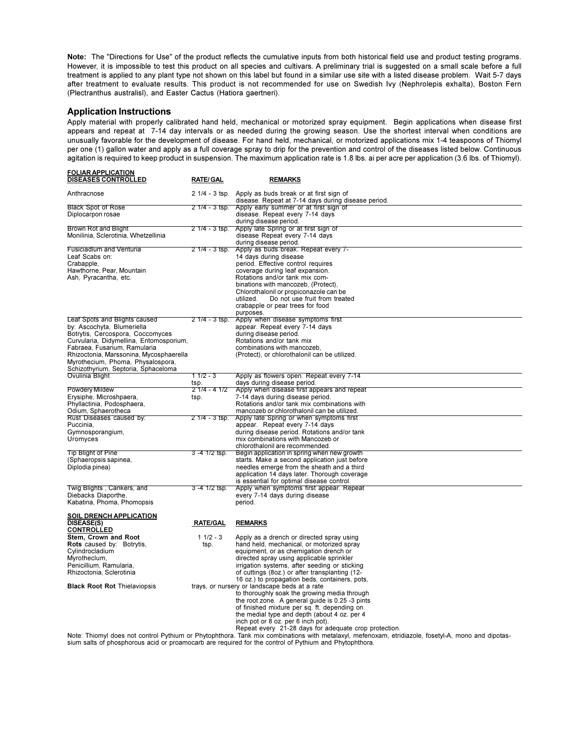Note: The "Directions for Use" of the product reflects the cumulative inputs from both historical field use and product testing programs. However, it is impossible to test this product on all species and cultivars. A preliminary trial is suggested on a small scale before a full treatment is applied to any plant type not shown on this label but found in a similar use site with a listed disease problem. Wait 5-7 days after treatment to evaluate results. This product is not recommended for use on Swedish Ivy (Nephrolepis exhalta), Boston Fern (Plectranthus australisl), and Easter Cactus (Hatiora gaertneri).

#### **Application Instructions**

**EOLIAR ARRICATION** 

Apply material with properly calibrated hand held, mechanical or motorized spray equipment. Begin applications when disease first appears and repeat at 7-14 day intervals or as needed during the growing season. Use the shortest interval when conditions are unusually favorable for the development of disease. For hand held, mechanical, or motorized applications mix 1-4 teaspoons of Thiomyl per one (1) gallon water and apply as a full coverage spray to drip for the prevention and control of the diseases listed below. Continuous agitation is required to keep product in suspension. The maximum application rate is 1.8 lbs. ai per acre per application (3.6 lbs. of Thiomyl).

| <u>IAINALLEIVAIIVE</u><br>DISEASES CONTROLLED                                                                                                                                                                                                                                                     | <b>RATE/GAL</b>       | <b>REMARKS</b>                                                                                                                                                                                                                                                                                                                                            |
|---------------------------------------------------------------------------------------------------------------------------------------------------------------------------------------------------------------------------------------------------------------------------------------------------|-----------------------|-----------------------------------------------------------------------------------------------------------------------------------------------------------------------------------------------------------------------------------------------------------------------------------------------------------------------------------------------------------|
| Anthracnose                                                                                                                                                                                                                                                                                       |                       | 2 1/4 - 3 tsp. Apply as buds break or at first sign of<br>disease. Repeat at 7-14 days during disease period.                                                                                                                                                                                                                                             |
| <b>Black Spot of Rose</b><br>Diplocarpon rosae                                                                                                                                                                                                                                                    | 2 1/4 - 3 tsp.        | Apply early summer or at first sign of<br>disease. Repeat every 7-14 days<br>during disease period.                                                                                                                                                                                                                                                       |
| <b>Brown Rot and Blight</b><br>Monilinia, Sclerotinia, Whetzellinia                                                                                                                                                                                                                               | 2 1/4 - 3 tsp.        | Apply late Spring or at first sign of<br>disease Repeat every 7-14 days<br>during disease period.                                                                                                                                                                                                                                                         |
| <b>Fusiciadlum and Venturia</b><br>Leaf Scabs on:<br>Crabapple,<br>Hawthorne, Pear, Mountain<br>Ash, Pyracantha, etc.                                                                                                                                                                             | $21/4 - 3$ tsp.       | Apply as buds break. Repeat every 7-<br>14 days during disease<br>period. Effective control requires<br>coverage during leaf expansion.<br>Rotations and/or tank mix com-<br>binations with mancozeb, (Protect),<br>Chlorothalonil or propiconazole can be<br>Do not use fruit from treated<br>utilized.<br>crabapple or pear trees for food<br>purposes. |
| Leaf Spots and Blights caused<br>by: Ascochyta, Blumeriella<br>Botrytis, Cercospora, Coccomyces<br>Curvularia, Didymellina, Entomosporium,<br>Fabraea, Fusarium, Ramularia<br>Rhizoctonia, Marssonina, Mycosphaerella<br>Myrothecium, Phoma, Physalospora,<br>Schizothyrium, Septoria, Sphaceloma | $21/4 - 3$ tsp.       | Apply when disease symptoms first<br>appear. Repeat every 7-14 days<br>during disease period.<br>Rotations and/or tank mix<br>combinations with mancozeb,<br>(Protect), or chlorothalonil can be utilized.                                                                                                                                                |
| Ovulinia Blight                                                                                                                                                                                                                                                                                   | $11/2 - 3$<br>tsp.    | Apply as flowers open. Repeat every 7-14<br>days during disease period.                                                                                                                                                                                                                                                                                   |
| <b>Powdery Mildew</b><br>Erysiphe, Microshpaera,<br>Phyllactinia, Podosphaera,<br>Odium, Sphaerotheca                                                                                                                                                                                             | $21/4 - 41/2$<br>tsp. | Apply when disease first appears and repeat<br>7-14 days during disease period.<br>Rotations and/or tank mix combinations with<br>mancozeb or chlorothalonil can be utilized.                                                                                                                                                                             |
| Rust Diseases caused by:<br>Puccinia,<br>Gymnosporangium,<br>Uromyces                                                                                                                                                                                                                             | $21/4 - 3$ tsp.       | Apply late Spring or when symptoms first<br>appear. Repeat every 7-14 days<br>during disease period. Rotations and/or tank<br>mix combinations with Mancozeb or<br>chlorothalonil are recommended.                                                                                                                                                        |
| <b>Tip Blight of Pine</b><br>(Sphaeropsis sapinea,<br>Diplodia pinea)                                                                                                                                                                                                                             | 3 -4 1/2 tsp.         | Begin application in spring when new growth<br>starts. Make a second application just before<br>needles emerge from the sheath and a third<br>application 14 days later. Thorough coverage<br>is essential for optimal disease control.                                                                                                                   |
| Twig Blights, Cankers, and<br>Diebacks Diaporthe,<br>Kabatina, Phoma, Phomopsis                                                                                                                                                                                                                   | $3 - 4$ $1/2$ tsp.    | Apply when symptoms first appear. Repeat<br>every 7-14 days during disease<br>period.                                                                                                                                                                                                                                                                     |
| <b>SOIL DRENCH APPLICATION</b><br><b>DISEASE(S)</b>                                                                                                                                                                                                                                               | <b>RATE/GAL</b>       | <b>REMARKS</b>                                                                                                                                                                                                                                                                                                                                            |
| <b>CONTROLLED</b><br>Stem, Crown and Root<br><b>Rots</b> caused by: Botrytis.<br>Cylindrocladium<br>Myrotheclum,<br>Penicillium, Ramularia,<br>Rhizoctonia, Sclerotinia                                                                                                                           | $11/2 - 3$<br>tsp.    | Apply as a drench or directed spray using<br>hand held, mechanical, or motorized spray<br>equipment, or as chemigation drench or<br>directed spray using applicable sprinkler<br>irrigation systems, after seeding or sticking<br>of cuttings (8oz.) or after transplanting (12-<br>16 oz.) to propagation beds, containers, pots,                        |
| <b>Black Root Rot Thielaviopsis</b>                                                                                                                                                                                                                                                               |                       | trays, or nursery or landscape beds at a rate<br>to thoroughly soak the growing media through<br>the root zone. A general guide is 0.25 -3 pints<br>of finished mixture per sq. ft. depending on<br>the medial type and depth (about 4 oz. per 4<br>inch pot or 8 oz. per 6 inch pot).<br>Reneat every 21-28 days for adequate crop protection            |

Note: Thiomyl does not control Pythium or Phytophthora. Tank mix combinations with metalaxyl. meterioxam. etridiazole, fosetyl-A, mono and dipotassium salts of phosphorous acid or proamocarb are required for the control of Pythium and Phytophthora.